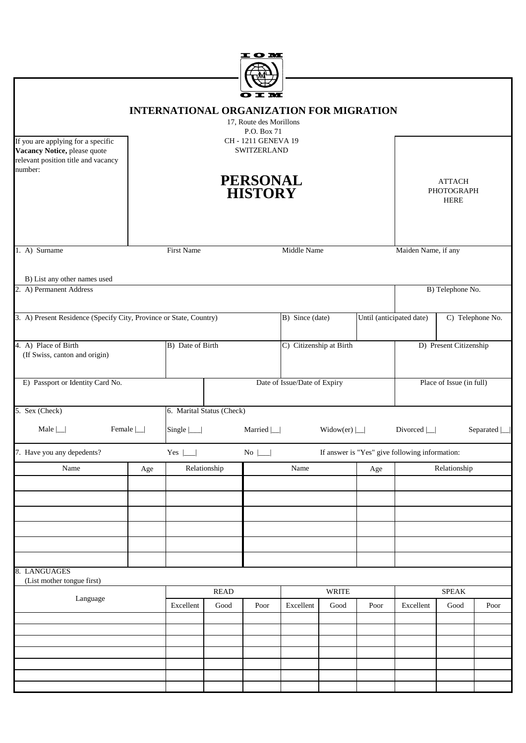|                                                                                                                      |                  |                                                 |              | t o M                                                                                                           |                              |                  |                          |                                                |                                            |                     |
|----------------------------------------------------------------------------------------------------------------------|------------------|-------------------------------------------------|--------------|-----------------------------------------------------------------------------------------------------------------|------------------------------|------------------|--------------------------|------------------------------------------------|--------------------------------------------|---------------------|
| If you are applying for a specific<br>Vacancy Notice, please quote<br>relevant position title and vacancy<br>number: |                  | <b>INTERNATIONAL ORGANIZATION FOR MIGRATION</b> |              | 17, Route des Morillons<br>P.O. Box 71<br>CH-1211 GENEVA 19<br>SWITZERLAND<br><b>PERSONAL</b><br><b>HISTORY</b> |                              |                  |                          |                                                | <b>ATTACH</b><br>PHOTOGRAPH<br><b>HERE</b> |                     |
| 1. A) Surname                                                                                                        |                  | First Name                                      |              |                                                                                                                 | Middle Name                  |                  |                          | Maiden Name, if any                            |                                            |                     |
| B) List any other names used<br>2. A) Permanent Address                                                              |                  |                                                 |              |                                                                                                                 |                              |                  |                          |                                                | B) Telephone No.                           |                     |
| 3. A) Present Residence (Specify City, Province or State, Country)                                                   |                  |                                                 |              |                                                                                                                 | B) Since (date)              |                  | Until (anticipated date) |                                                |                                            | C) Telephone No.    |
| 4. A) Place of Birth<br>(If Swiss, canton and origin)                                                                |                  | B) Date of Birth                                |              |                                                                                                                 | C) Citizenship at Birth      |                  |                          |                                                | D) Present Citizenship                     |                     |
| E) Passport or Identity Card No.                                                                                     |                  |                                                 |              |                                                                                                                 | Date of Issue/Date of Expiry |                  |                          |                                                | Place of Issue (in full)                   |                     |
| 5. Sex (Check)<br>Male $\lfloor$                                                                                     | Female $\lfloor$ | 6. Marital Status (Check)<br>Single $ \_\ $     |              | Married $\Box$                                                                                                  |                              | Widow(er) $\Box$ |                          | Divorced $\Box$                                |                                            | Separated $\lfloor$ |
| 7. Have you any depedents?                                                                                           |                  | Yes $\Box$                                      |              | $No$ $\Box$                                                                                                     |                              |                  |                          | If answer is "Yes" give following information: |                                            |                     |
| Name                                                                                                                 | Age              |                                                 | Relationship |                                                                                                                 | Name                         |                  | Age                      |                                                | Relationship                               |                     |
|                                                                                                                      |                  |                                                 |              |                                                                                                                 |                              |                  |                          |                                                |                                            |                     |
|                                                                                                                      |                  |                                                 |              |                                                                                                                 |                              |                  |                          |                                                |                                            |                     |
| 8. LANGUAGES<br>(List mother tongue first)                                                                           |                  |                                                 |              |                                                                                                                 |                              |                  |                          |                                                |                                            |                     |
| Language                                                                                                             |                  |                                                 | <b>READ</b>  |                                                                                                                 |                              | WRITE            |                          |                                                | <b>SPEAK</b>                               |                     |
|                                                                                                                      |                  | Excellent                                       | Good         | Poor                                                                                                            | Excellent                    | Good             | Poor                     | Excellent                                      | Good                                       | Poor                |
|                                                                                                                      |                  |                                                 |              |                                                                                                                 |                              |                  |                          |                                                |                                            |                     |
|                                                                                                                      |                  |                                                 |              |                                                                                                                 |                              |                  |                          |                                                |                                            |                     |
|                                                                                                                      |                  |                                                 |              |                                                                                                                 |                              |                  |                          |                                                |                                            |                     |
|                                                                                                                      |                  |                                                 |              |                                                                                                                 |                              |                  |                          |                                                |                                            |                     |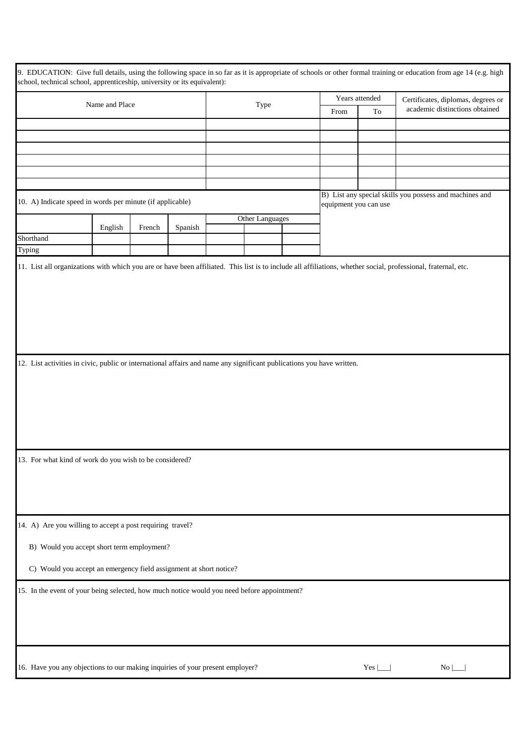| 9. EDUCATION: Give full details, using the following space in so far as it is appropriate of schools or other formal training or education from age 14 (e.g. high<br>school, technical school, apprenticeship, university or its equivalent): |         |        |         |      |                 |      |                                    |                                |                                                         |
|-----------------------------------------------------------------------------------------------------------------------------------------------------------------------------------------------------------------------------------------------|---------|--------|---------|------|-----------------|------|------------------------------------|--------------------------------|---------------------------------------------------------|
| Name and Place                                                                                                                                                                                                                                |         |        |         |      | Years attended  |      | Certificates, diplomas, degrees or |                                |                                                         |
|                                                                                                                                                                                                                                               |         |        |         | Type |                 | From | To                                 | academic distinctions obtained |                                                         |
|                                                                                                                                                                                                                                               |         |        |         |      |                 |      |                                    |                                |                                                         |
|                                                                                                                                                                                                                                               |         |        |         |      |                 |      |                                    |                                |                                                         |
|                                                                                                                                                                                                                                               |         |        |         |      |                 |      |                                    |                                |                                                         |
|                                                                                                                                                                                                                                               |         |        |         |      |                 |      |                                    |                                |                                                         |
|                                                                                                                                                                                                                                               |         |        |         |      |                 |      |                                    |                                |                                                         |
|                                                                                                                                                                                                                                               |         |        |         |      |                 |      |                                    |                                |                                                         |
| 10. A) Indicate speed in words per minute (if applicable)                                                                                                                                                                                     |         |        |         |      |                 |      | equipment you can use              |                                | B) List any special skills you possess and machines and |
|                                                                                                                                                                                                                                               |         |        |         |      | Other Languages |      |                                    |                                |                                                         |
|                                                                                                                                                                                                                                               | English | French | Spanish |      |                 |      |                                    |                                |                                                         |
| Shorthand                                                                                                                                                                                                                                     |         |        |         |      |                 |      |                                    |                                |                                                         |
| Typing                                                                                                                                                                                                                                        |         |        |         |      |                 |      |                                    |                                |                                                         |
| 12. List activities in civic, public or international affairs and name any significant publications you have written.<br>13. For what kind of work do you wish to be considered?                                                              |         |        |         |      |                 |      |                                    |                                |                                                         |
| 14. A) Are you willing to accept a post requiring travel?                                                                                                                                                                                     |         |        |         |      |                 |      |                                    |                                |                                                         |
| B) Would you accept short term employment?                                                                                                                                                                                                    |         |        |         |      |                 |      |                                    |                                |                                                         |
| C) Would you accept an emergency field assignment at short notice?                                                                                                                                                                            |         |        |         |      |                 |      |                                    |                                |                                                         |
| 15. In the event of your being selected, how much notice would you need before appointment?                                                                                                                                                   |         |        |         |      |                 |      |                                    |                                |                                                         |
| 16. Have you any objections to our making inquiries of your present employer?                                                                                                                                                                 |         |        |         |      |                 |      |                                    | Yes $\mathcal{L}$              | $No \perp$                                              |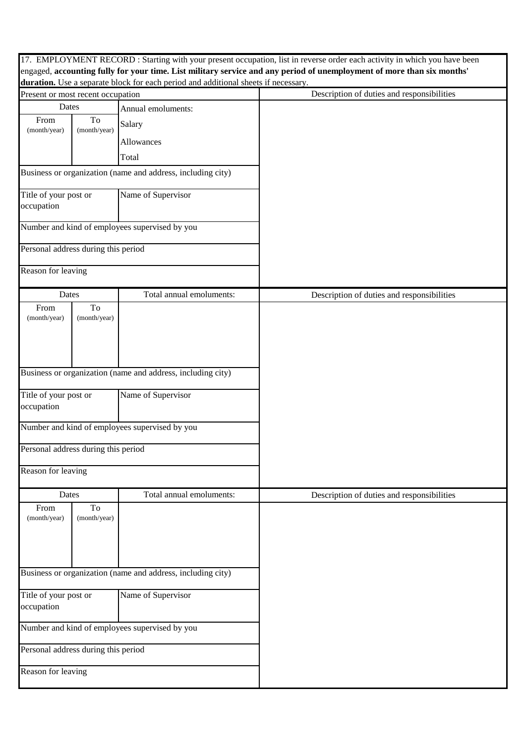|                                                                  |                                                             |                                                                                    | 17. EMPLOYMENT RECORD : Starting with your present occupation, list in reverse order each activity in which you have been |
|------------------------------------------------------------------|-------------------------------------------------------------|------------------------------------------------------------------------------------|---------------------------------------------------------------------------------------------------------------------------|
|                                                                  |                                                             |                                                                                    | engaged, accounting fully for your time. List military service and any period of unemployment of more than six months'    |
|                                                                  |                                                             | duration. Use a separate block for each period and additional sheets if necessary. | Description of duties and responsibilities                                                                                |
| Present or most recent occupation<br>Dates<br>Annual emoluments: |                                                             |                                                                                    |                                                                                                                           |
| To<br>From<br>(month/year)<br>(month/year)                       |                                                             |                                                                                    |                                                                                                                           |
|                                                                  |                                                             | Salary                                                                             |                                                                                                                           |
|                                                                  |                                                             | Allowances                                                                         |                                                                                                                           |
|                                                                  |                                                             | Total                                                                              |                                                                                                                           |
|                                                                  |                                                             | Business or organization (name and address, including city)                        |                                                                                                                           |
| Title of your post or<br>occupation                              |                                                             | Name of Supervisor                                                                 |                                                                                                                           |
|                                                                  |                                                             | Number and kind of employees supervised by you                                     |                                                                                                                           |
| Personal address during this period                              |                                                             |                                                                                    |                                                                                                                           |
| Reason for leaving                                               |                                                             |                                                                                    |                                                                                                                           |
| Dates                                                            |                                                             | Total annual emoluments:                                                           | Description of duties and responsibilities                                                                                |
| From<br>(month/year)                                             | To<br>(month/year)                                          |                                                                                    |                                                                                                                           |
|                                                                  | Business or organization (name and address, including city) |                                                                                    |                                                                                                                           |
| Title of your post or<br>occupation                              |                                                             | Name of Supervisor                                                                 |                                                                                                                           |
|                                                                  |                                                             | Number and kind of employees supervised by you                                     |                                                                                                                           |
| Personal address during this period                              |                                                             |                                                                                    |                                                                                                                           |
| Reason for leaving                                               |                                                             |                                                                                    |                                                                                                                           |
| Dates                                                            |                                                             | Total annual emoluments:                                                           | Description of duties and responsibilities                                                                                |
| From<br>(month/year)                                             | To<br>(month/year)                                          |                                                                                    |                                                                                                                           |
| Business or organization (name and address, including city)      |                                                             |                                                                                    |                                                                                                                           |
| Title of your post or<br>occupation                              |                                                             | Name of Supervisor                                                                 |                                                                                                                           |
| Number and kind of employees supervised by you                   |                                                             |                                                                                    |                                                                                                                           |
| Personal address during this period                              |                                                             |                                                                                    |                                                                                                                           |
| Reason for leaving                                               |                                                             |                                                                                    |                                                                                                                           |